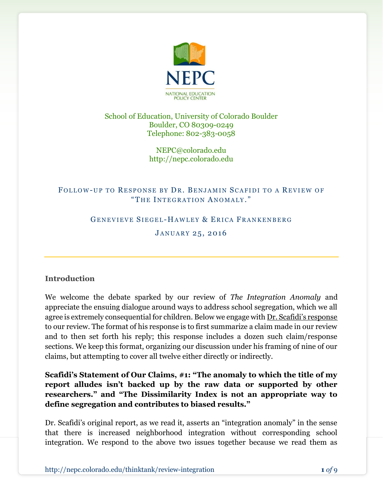

#### School of Education, University of Colorado Boulder Boulder, CO 80309-0249 Telephone: 802-383-0058

NEPC@colorado.edu http://nepc.colorado.edu

# FOLLOW-UP TO RESPONSE BY DR. BENJAMIN SCAFIDI TO A REVIEW OF "THE INTEGRATION ANOMALY."

#### GENEVIEVE SIEGEL-HAWLEY & ERICA FRANKENBERG

#### JANUARY 25, 2016

#### Introduction

We welcome the debate sparked by our review of The Integration Anomaly and appreciate the ensuing dialogue around ways to address school segregation, which we all agree is extremely consequential for children. Below we engage with Dr. Scafidi's response to our review. The format of his response is to first summarize a claim made in our review and to then set forth his reply; this response includes a dozen such claim/response sections. We keep this format, organizing our discussion under his framing of nine of our claims, but attempting to cover all twelve either directly or indirectly.

Scafidi's Statement of Our Claims, #1: "The anomaly to which the title of my report alludes isn't backed up by the raw data or supported by other researchers." and "The Dissimilarity Index is not an appropriate way to define segregation and contributes to biased results."

Dr. Scafidi's original report, as we read it, asserts an "integration anomaly" in the sense that there is increased neighborhood integration without corresponding school integration. We respond to the above two issues together because we read them as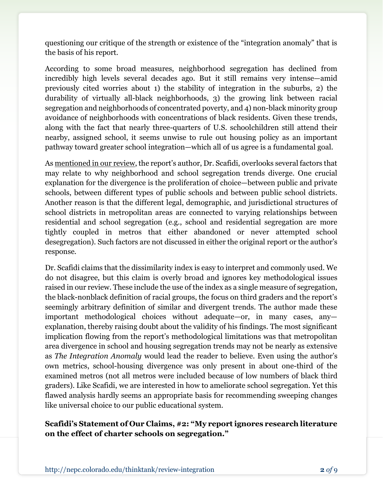questioning our critique of the strength or existence of the "integration anomaly" that is the basis of his report.

According to some broad measures, neighborhood segregation has declined from incredibly high levels several decades ago. But it still remains very intense—amid previously cited worries about 1) the stability of integration in the suburbs, 2) the durability of virtually all-black neighborhoods, 3) the growing link between racial segregation and neighborhoods of concentrated poverty, and 4) non-black minority group avoidance of neighborhoods with concentrations of black residents. Given these trends, along with the fact that nearly three-quarters of U.S. schoolchildren still attend their nearby, assigned school, it seems unwise to rule out housing policy as an important pathway toward greater school integration—which all of us agree is a fundamental goal.

As mentioned in our review, the report's author, Dr. Scafidi, overlooks several factors that may relate to why neighborhood and school segregation trends diverge. One crucial explanation for the divergence is the proliferation of choice—between public and private schools, between different types of public schools and between public school districts. Another reason is that the different legal, demographic, and jurisdictional structures of school districts in metropolitan areas are connected to varying relationships between residential and school segregation (e.g., school and residential segregation are more tightly coupled in metros that either abandoned or never attempted school desegregation). Such factors are not discussed in either the original report or the author's response.

Dr. Scafidi claims that the dissimilarity index is easy to interpret and commonly used. We do not disagree, but this claim is overly broad and ignores key methodological issues raised in our review. These include the use of the index as a single measure of segregation, the black-nonblack definition of racial groups, the focus on third graders and the report's seemingly arbitrary definition of similar and divergent trends. The author made these important methodological choices without adequate—or, in many cases, any explanation, thereby raising doubt about the validity of his findings. The most significant implication flowing from the report's methodological limitations was that metropolitan area divergence in school and housing segregation trends may not be nearly as extensive as The Integration Anomaly would lead the reader to believe. Even using the author's own metrics, school-housing divergence was only present in about one-third of the examined metros (not all metros were included because of low numbers of black third graders). Like Scafidi, we are interested in how to ameliorate school segregation. Yet this flawed analysis hardly seems an appropriate basis for recommending sweeping changes like universal choice to our public educational system.

#### Scafidi's Statement of Our Claims, #2: "My report ignores research literature on the effect of charter schools on segregation."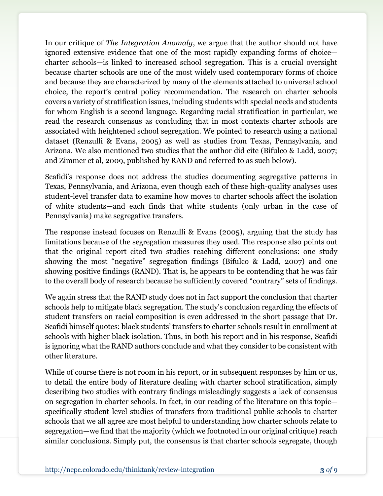In our critique of The Integration Anomaly, we argue that the author should not have ignored extensive evidence that one of the most rapidly expanding forms of choice charter schools—is linked to increased school segregation. This is a crucial oversight because charter schools are one of the most widely used contemporary forms of choice and because they are characterized by many of the elements attached to universal school choice, the report's central policy recommendation. The research on charter schools covers a variety of stratification issues, including students with special needs and students for whom English is a second language. Regarding racial stratification in particular, we read the research consensus as concluding that in most contexts charter schools are associated with heightened school segregation. We pointed to research using a national dataset (Renzulli & Evans, 2005) as well as studies from Texas, Pennsylvania, and Arizona. We also mentioned two studies that the author did cite (Bifulco & Ladd, 2007; and Zimmer et al, 2009, published by RAND and referred to as such below).

Scafidi's response does not address the studies documenting segregative patterns in Texas, Pennsylvania, and Arizona, even though each of these high-quality analyses uses student-level transfer data to examine how moves to charter schools affect the isolation of white students—and each finds that white students (only urban in the case of Pennsylvania) make segregative transfers.

The response instead focuses on Renzulli & Evans (2005), arguing that the study has limitations because of the segregation measures they used. The response also points out that the original report cited two studies reaching different conclusions: one study showing the most "negative" segregation findings (Bifulco & Ladd, 2007) and one showing positive findings (RAND). That is, he appears to be contending that he was fair to the overall body of research because he sufficiently covered "contrary" sets of findings.

We again stress that the RAND study does not in fact support the conclusion that charter schools help to mitigate black segregation. The study's conclusion regarding the effects of student transfers on racial composition is even addressed in the short passage that Dr. Scafidi himself quotes: black students' transfers to charter schools result in enrollment at schools with higher black isolation. Thus, in both his report and in his response, Scafidi is ignoring what the RAND authors conclude and what they consider to be consistent with other literature.

While of course there is not room in his report, or in subsequent responses by him or us, to detail the entire body of literature dealing with charter school stratification, simply describing two studies with contrary findings misleadingly suggests a lack of consensus on segregation in charter schools. In fact, in our reading of the literature on this topic specifically student-level studies of transfers from traditional public schools to charter schools that we all agree are most helpful to understanding how charter schools relate to segregation—we find that the majority (which we footnoted in our original critique) reach similar conclusions. Simply put, the consensus is that charter schools segregate, though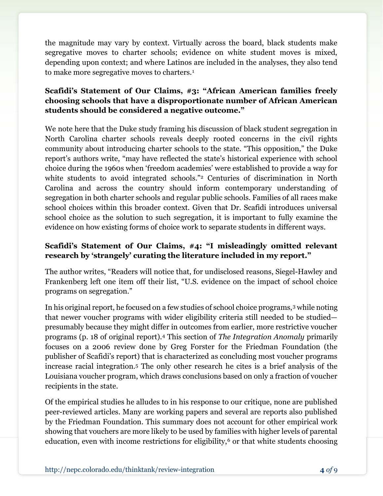the magnitude may vary by context. Virtually across the board, black students make segregative moves to charter schools; evidence on white student moves is mixed, depending upon context; and where Latinos are included in the analyses, they also tend to make more segregative moves to charters.<sup>1</sup>

# Scafidi's Statement of Our Claims, #3: "African American families freely choosing schools that have a disproportionate number of African American students should be considered a negative outcome."

We note here that the Duke study framing his discussion of black student segregation in North Carolina charter schools reveals deeply rooted concerns in the civil rights community about introducing charter schools to the state. "This opposition," the Duke report's authors write, "may have reflected the state's historical experience with school choice during the 1960s when 'freedom academies' were established to provide a way for white students to avoid integrated schools."<sup>2</sup> Centuries of discrimination in North Carolina and across the country should inform contemporary understanding of segregation in both charter schools and regular public schools. Families of all races make school choices within this broader context. Given that Dr. Scafidi introduces universal school choice as the solution to such segregation, it is important to fully examine the evidence on how existing forms of choice work to separate students in different ways.

# Scafidi's Statement of Our Claims, #4: "I misleadingly omitted relevant research by 'strangely' curating the literature included in my report."

The author writes, "Readers will notice that, for undisclosed reasons, Siegel-Hawley and Frankenberg left one item off their list, "U.S. evidence on the impact of school choice programs on segregation."

In his original report, he focused on a few studies of school choice programs,3 while noting that newer voucher programs with wider eligibility criteria still needed to be studied presumably because they might differ in outcomes from earlier, more restrictive voucher programs (p. 18 of original report).4 This section of The Integration Anomaly primarily focuses on a 2006 review done by Greg Forster for the Friedman Foundation (the publisher of Scafidi's report) that is characterized as concluding most voucher programs increase racial integration.5 The only other research he cites is a brief analysis of the Louisiana voucher program, which draws conclusions based on only a fraction of voucher recipients in the state.

Of the empirical studies he alludes to in his response to our critique, none are published peer-reviewed articles. Many are working papers and several are reports also published by the Friedman Foundation. This summary does not account for other empirical work showing that vouchers are more likely to be used by families with higher levels of parental education, even with income restrictions for eligibility, $6$  or that white students choosing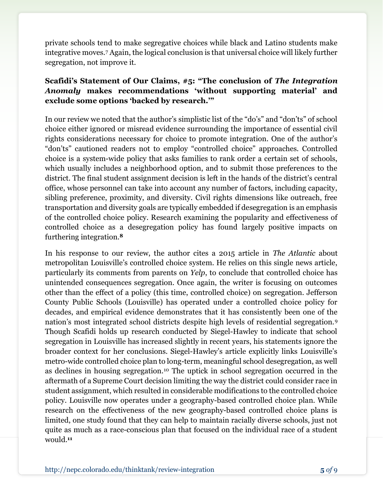private schools tend to make segregative choices while black and Latino students make integrative moves.7 Again, the logical conclusion is that universal choice will likely further segregation, not improve it.

# Scafidi's Statement of Our Claims, #5: "The conclusion of The Integration Anomaly makes recommendations 'without supporting material' and exclude some options 'backed by research.'"

In our review we noted that the author's simplistic list of the "do's" and "don'ts" of school choice either ignored or misread evidence surrounding the importance of essential civil rights considerations necessary for choice to promote integration. One of the author's "don'ts" cautioned readers not to employ "controlled choice" approaches. Controlled choice is a system-wide policy that asks families to rank order a certain set of schools, which usually includes a neighborhood option, and to submit those preferences to the district. The final student assignment decision is left in the hands of the district's central office, whose personnel can take into account any number of factors, including capacity, sibling preference, proximity, and diversity. Civil rights dimensions like outreach, free transportation and diversity goals are typically embedded if desegregation is an emphasis of the controlled choice policy. Research examining the popularity and effectiveness of controlled choice as a desegregation policy has found largely positive impacts on furthering integration.<sup>8</sup>

In his response to our review, the author cites a 2015 article in The Atlantic about metropolitan Louisville's controlled choice system. He relies on this single news article, particularly its comments from parents on Yelp, to conclude that controlled choice has unintended consequences segregation. Once again, the writer is focusing on outcomes other than the effect of a policy (this time, controlled choice) on segregation. Jefferson County Public Schools (Louisville) has operated under a controlled choice policy for decades, and empirical evidence demonstrates that it has consistently been one of the nation's most integrated school districts despite high levels of residential segregation.<sup>9</sup> Though Scafidi holds up research conducted by Siegel-Hawley to indicate that school segregation in Louisville has increased slightly in recent years, his statements ignore the broader context for her conclusions. Siegel-Hawley's article explicitly links Louisville's metro-wide controlled choice plan to long-term, meaningful school desegregation, as well as declines in housing segregation.10 The uptick in school segregation occurred in the aftermath of a Supreme Court decision limiting the way the district could consider race in student assignment, which resulted in considerable modifications to the controlled choice policy. Louisville now operates under a geography-based controlled choice plan. While research on the effectiveness of the new geography-based controlled choice plans is limited, one study found that they can help to maintain racially diverse schools, just not quite as much as a race-conscious plan that focused on the individual race of a student would.11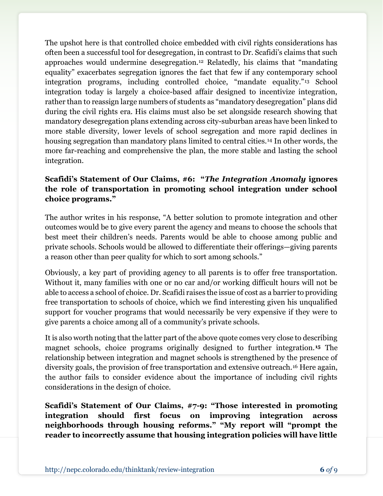The upshot here is that controlled choice embedded with civil rights considerations has often been a successful tool for desegregation, in contrast to Dr. Scafidi's claims that such approaches would undermine desegregation.12 Relatedly, his claims that "mandating equality" exacerbates segregation ignores the fact that few if any contemporary school integration programs, including controlled choice, "mandate equality."13 School integration today is largely a choice-based affair designed to incentivize integration, rather than to reassign large numbers of students as "mandatory desegregation" plans did during the civil rights era. His claims must also be set alongside research showing that mandatory desegregation plans extending across city-suburban areas have been linked to more stable diversity, lower levels of school segregation and more rapid declines in housing segregation than mandatory plans limited to central cities.<sup>14</sup> In other words, the more far-reaching and comprehensive the plan, the more stable and lasting the school integration.

# Scafidi's Statement of Our Claims, #6: "The Integration Anomaly ignores the role of transportation in promoting school integration under school choice programs."

The author writes in his response, "A better solution to promote integration and other outcomes would be to give every parent the agency and means to choose the schools that best meet their children's needs. Parents would be able to choose among public and private schools. Schools would be allowed to differentiate their offerings—giving parents a reason other than peer quality for which to sort among schools."

Obviously, a key part of providing agency to all parents is to offer free transportation. Without it, many families with one or no car and/or working difficult hours will not be able to access a school of choice. Dr. Scafidi raises the issue of cost as a barrier to providing free transportation to schools of choice, which we find interesting given his unqualified support for voucher programs that would necessarily be very expensive if they were to give parents a choice among all of a community's private schools.

It is also worth noting that the latter part of the above quote comes very close to describing magnet schools, choice programs originally designed to further integration.15 The relationship between integration and magnet schools is strengthened by the presence of diversity goals, the provision of free transportation and extensive outreach.16 Here again, the author fails to consider evidence about the importance of including civil rights considerations in the design of choice.

Scafidi's Statement of Our Claims, #7-9: "Those interested in promoting integration should first focus on improving integration across neighborhoods through housing reforms." "My report will "prompt the reader to incorrectly assume that housing integration policies will have little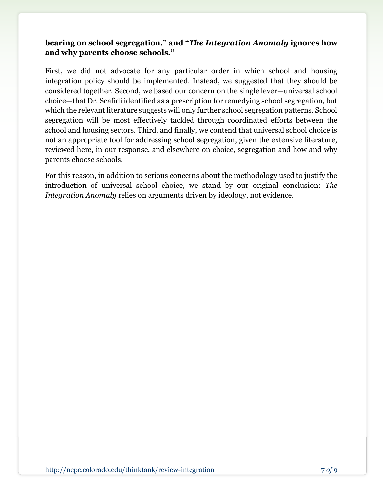## bearing on school segregation." and "The Integration Anomaly ignores how and why parents choose schools."

First, we did not advocate for any particular order in which school and housing integration policy should be implemented. Instead, we suggested that they should be considered together. Second, we based our concern on the single lever—universal school choice—that Dr. Scafidi identified as a prescription for remedying school segregation, but which the relevant literature suggests will only further school segregation patterns. School segregation will be most effectively tackled through coordinated efforts between the school and housing sectors. Third, and finally, we contend that universal school choice is not an appropriate tool for addressing school segregation, given the extensive literature, reviewed here, in our response, and elsewhere on choice, segregation and how and why parents choose schools.

For this reason, in addition to serious concerns about the methodology used to justify the introduction of universal school choice, we stand by our original conclusion: The Integration Anomaly relies on arguments driven by ideology, not evidence.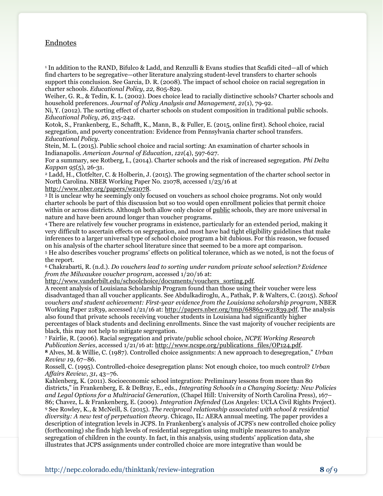#### Endnotes

1 In addition to the RAND, Bifulco & Ladd, and Renzulli & Evans studies that Scafidi cited—all of which find charters to be segregative—other literature analyzing student-level transfers to charter schools support this conclusion. See Garcia, D. R. (2008). The impact of school choice on racial segregation in charter schools. Educational Policy, 22, 805-829.

Weiher, G. R., & Tedin, K. L. (2002). Does choice lead to racially distinctive schools? Charter schools and household preferences. Journal of Policy Analysis and Management, 21(1), 79-92.

Ni, Y. (2012). The sorting effect of charter schools on student composition in traditional public schools. Educational Policy, 26, 215-242.

Kotok, S., Frankenberg, E., Schafft, K., Mann, B., & Fuller, E. (2015, online first). School choice, racial segregation, and poverty concentration: Evidence from Pennsylvania charter school transfers. Educational Policy.

Stein, M. L. (2015). Public school choice and racial sorting: An examination of charter schools in Indianapolis. American Journal of Education, 121(4), 597-627.

For a summary, see Rotberg, I., (2014). Charter schools and the risk of increased segregation. Phi Delta Kappan 95(5), 26-31.

<sup>2</sup> Ladd, H., Clotfelter, C. & Holberin, J. (2015). The growing segmentation of the charter school sector in North Carolina. NBER Working Paper No. 21078, accessed 1/23/16 at

http://www.nber.org/papers/w21078.

<sup>3</sup> It is unclear why he seemingly only focused on vouchers as school choice programs. Not only would charter schools be part of this discussion but so too would open enrollment policies that permit choice within or across districts. Although both allow only choice of public schools, they are more universal in nature and have been around longer than voucher programs.

<sup>4</sup> There are relatively few voucher programs in existence, particularly for an extended period, making it very difficult to ascertain effects on segregation, and most have had tight eligibility guidelines that make inferences to a larger universal type of school choice program a bit dubious. For this reason, we focused on his analysis of the charter school literature since that seemed to be a more apt comparison.

<sup>5</sup> He also describes voucher programs' effects on political tolerance, which as we noted, is not the focus of the report.

<sup>6</sup> Chakrabarti, R. (n.d.). Do vouchers lead to sorting under random private school selection? Evidence from the Milwaukee voucher program, accessed 1/20/16 at:

http://www.vanderbilt.edu/schoolchoice/documents/vouchers\_sorting.pdf.

A recent analysis of Louisiana Scholarship Program found than those using their voucher were less disadvantaged than all voucher applicants. See Abdulkadiroglu, A., Pathak, P. & Walters, C. (2015). School vouchers and student achievement: First-year evidence from the Louisiana scholarship program, NBER Working Paper 21839, accessed 1/21/16 at: http://papers.nber.org/tmp/68865-w21839.pdf. The analysis also found that private schools receiving voucher students in Louisiana had significantly higher percentages of black students and declining enrollments. Since the vast majority of voucher recipients are

black, this may not help to mitigate segregation. 7 Fairlie, R. (2006). Racial segregation and private/public school choice, NCPE Working Research Publication Series, accessed 1/21/16 at: http://www.ncspe.org/publications\_files/OP124.pdf.

<sup>8</sup> Alves, M. & Willie, C. (1987). Controlled choice assignments: A new approach to desegregation," Urban Review 19, 67–86.

Rossell, C. (1995). Controlled-choice desegregation plans: Not enough choice, too much control? Urban Affairs Review, 31, 43–76.

Kahlenberg, K. (2011). Socioeconomic school integration: Preliminary lessons from more than 80 districts," in Frankenberg, E. & DeBray, E., eds., Integrating Schools in a Changing Society: New Policies and Legal Options for a Multiracial Generation, (Chapel Hill: University of North Carolina Press), 167– 86; Chavez, L. & Frankenberg, E. (2009). Integration Defended (Los Angeles: UCLA Civil Rights Project). <sup>9</sup> See Rowley, K., & McNeill, S. (2015). The reciprocal relationship associated with school & residential diversity: A new test of perpetuation theory. Chicago, IL: AERA annual meeting. The paper provides a description of integration levels in JCPS. In Frankenberg's analysis of JCPS's new controlled choice policy (forthcoming) she finds high levels of residential segregation using multiple measures to analyze segregation of children in the county. In fact, in this analysis, using students' application data, she illustrates that JCPS assignments under controlled choice are more integrative than would be